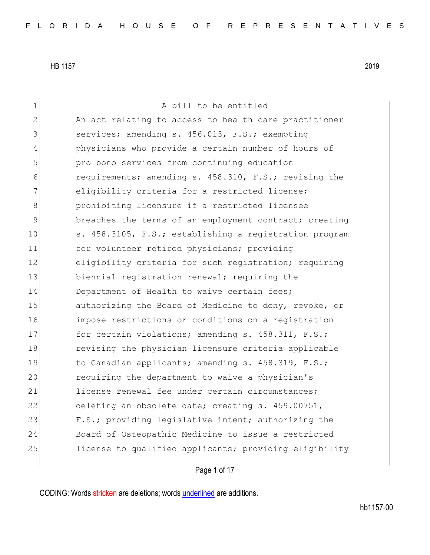| 1              | A bill to be entitled                                  |
|----------------|--------------------------------------------------------|
| $\overline{2}$ | An act relating to access to health care practitioner  |
| 3              | services; amending s. 456.013, F.S.; exempting         |
| 4              | physicians who provide a certain number of hours of    |
| 5              | pro bono services from continuing education            |
| 6              | requirements; amending s. 458.310, F.S.; revising the  |
| 7              | eligibility criteria for a restricted license;         |
| 8              | prohibiting licensure if a restricted licensee         |
| 9              | breaches the terms of an employment contract; creating |
| 10             | s. 458.3105, F.S.; establishing a registration program |
| 11             | for volunteer retired physicians; providing            |
| 12             | eligibility criteria for such registration; requiring  |
| 13             | biennial registration renewal; requiring the           |
| 14             | Department of Health to waive certain fees;            |
| 15             | authorizing the Board of Medicine to deny, revoke, or  |
| 16             | impose restrictions or conditions on a registration    |
| 17             | for certain violations; amending s. 458.311, F.S.;     |
| 18             | revising the physician licensure criteria applicable   |
| 19             | to Canadian applicants; amending s. 458.319, F.S.;     |
| 20             | requiring the department to waive a physician's        |
| 21             | license renewal fee under certain circumstances;       |
| 22             | deleting an obsolete date; creating s. 459.00751,      |
| 23             | F.S.; providing legislative intent; authorizing the    |
| 24             | Board of Osteopathic Medicine to issue a restricted    |
| 25             | license to qualified applicants; providing eligibility |
|                |                                                        |

Page 1 of 17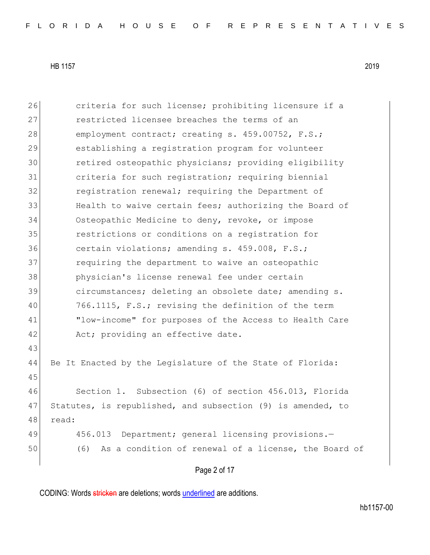26 criteria for such license; prohibiting licensure if a 27 restricted licensee breaches the terms of an 28 employment contract; creating s. 459.00752, F.S.; 29 establishing a registration program for volunteer 30 retired osteopathic physicians; providing eligibility 31 criteria for such registration; requiring biennial 32 **registration renewal;** requiring the Department of 33 Health to waive certain fees; authorizing the Board of 34 Osteopathic Medicine to deny, revoke, or impose 35 restrictions or conditions on a registration for 36 certain violations; amending s. 459.008, F.S.; 37 **requiring the department to waive an osteopathic** 38 physician's license renewal fee under certain 39 circumstances; deleting an obsolete date; amending s. 40 766.1115, F.S.; revising the definition of the term 41 "low-income" for purposes of the Access to Health Care 42 Act; providing an effective date. 43 44 Be It Enacted by the Legislature of the State of Florida: 45 46 Section 1. Subsection (6) of section 456.013, Florida 47 Statutes, is republished, and subsection (9) is amended, to 48 read: 49 456.013 Department; general licensing provisions. 50 (6) As a condition of renewal of a license, the Board of

Page 2 of 17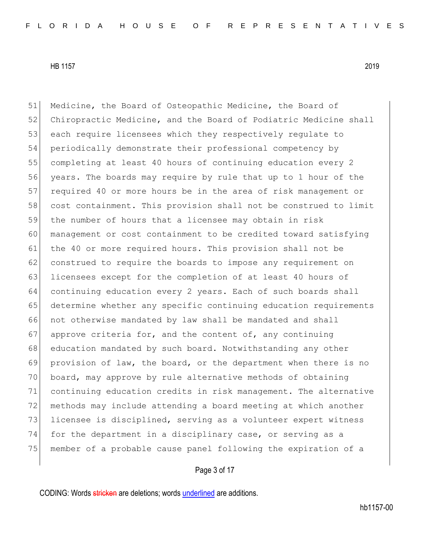Medicine, the Board of Osteopathic Medicine, the Board of 52 Chiropractic Medicine, and the Board of Podiatric Medicine shall each require licensees which they respectively regulate to periodically demonstrate their professional competency by completing at least 40 hours of continuing education every 2 years. The boards may require by rule that up to 1 hour of the 57 required 40 or more hours be in the area of risk management or cost containment. This provision shall not be construed to limit the number of hours that a licensee may obtain in risk management or cost containment to be credited toward satisfying 61 the 40 or more required hours. This provision shall not be 62 construed to require the boards to impose any requirement on 63 licensees except for the completion of at least 40 hours of continuing education every 2 years. Each of such boards shall determine whether any specific continuing education requirements not otherwise mandated by law shall be mandated and shall approve criteria for, and the content of, any continuing 68 education mandated by such board. Notwithstanding any other provision of law, the board, or the department when there is no board, may approve by rule alternative methods of obtaining continuing education credits in risk management. The alternative 72 methods may include attending a board meeting at which another 73 licensee is disciplined, serving as a volunteer expert witness 74 for the department in a disciplinary case, or serving as a member of a probable cause panel following the expiration of a

## Page 3 of 17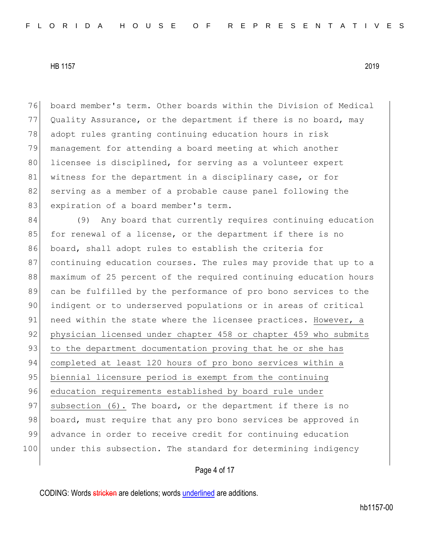76 board member's term. Other boards within the Division of Medical 77 Quality Assurance, or the department if there is no board, may 78 adopt rules granting continuing education hours in risk 79 management for attending a board meeting at which another 80 licensee is disciplined, for serving as a volunteer expert 81 witness for the department in a disciplinary case, or for 82 serving as a member of a probable cause panel following the 83 expiration of a board member's term.

84 (9) Any board that currently requires continuing education 85 for renewal of a license, or the department if there is no 86 board, shall adopt rules to establish the criteria for 87 continuing education courses. The rules may provide that up to a 88 maximum of 25 percent of the required continuing education hours 89 can be fulfilled by the performance of pro bono services to the 90 indigent or to underserved populations or in areas of critical 91 need within the state where the licensee practices. However, a 92 physician licensed under chapter 458 or chapter 459 who submits 93 to the department documentation proving that he or she has 94 completed at least 120 hours of pro bono services within a 95 biennial licensure period is exempt from the continuing 96 education requirements established by board rule under 97 subsection (6). The board, or the department if there is no 98 board, must require that any pro bono services be approved in 99 advance in order to receive credit for continuing education 100 under this subsection. The standard for determining indigency

Page 4 of 17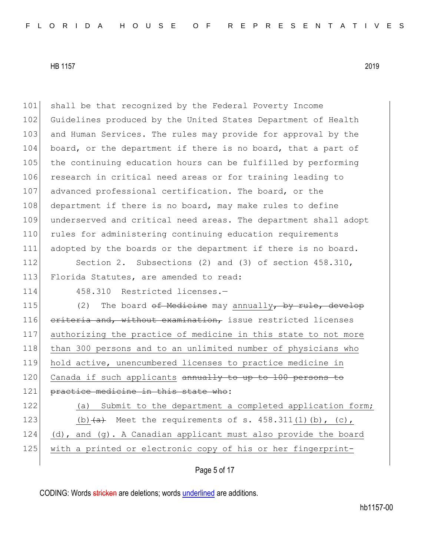101 shall be that recognized by the Federal Poverty Income 102 Guidelines produced by the United States Department of Health 103 and Human Services. The rules may provide for approval by the 104 board, or the department if there is no board, that a part of 105 the continuing education hours can be fulfilled by performing 106 research in critical need areas or for training leading to 107 advanced professional certification. The board, or the 108 department if there is no board, may make rules to define 109 underserved and critical need areas. The department shall adopt 110 rules for administering continuing education requirements 111 adopted by the boards or the department if there is no board. 112 Section 2. Subsections (2) and (3) of section 458.310, 113 Florida Statutes, are amended to read: 114 458.310 Restricted licenses.-115 (2) The board of Medicine may annually, by rule, develop 116 criteria and, without examination, issue restricted licenses 117 authorizing the practice of medicine in this state to not more 118 than 300 persons and to an unlimited number of physicians who 119 hold active, unencumbered licenses to practice medicine in 120 Canada if such applicants annually to up to 100 persons to 121 practice medicine in this state who: 122 (a) Submit to the department a completed application form; 123 (b) $\frac{a}{a}$  Meet the requirements of s. 458.311(1)(b), (c), 124 (d), and (g). A Canadian applicant must also provide the board

Page 5 of 17

125 with a printed or electronic copy of his or her fingerprint-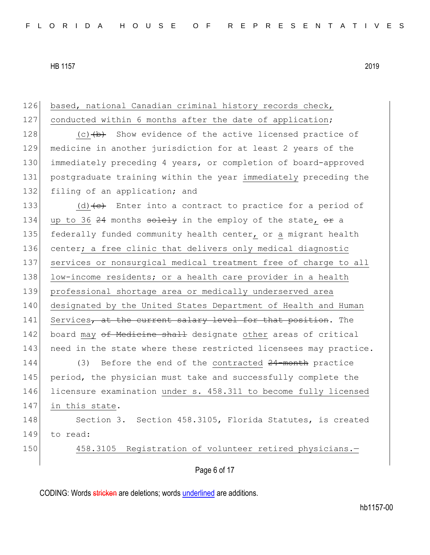126 based, national Canadian criminal history records check, 127 conducted within 6 months after the date of application; 128 (c) (b) Show evidence of the active licensed practice of 129 medicine in another jurisdiction for at least 2 years of the 130 immediately preceding 4 years, or completion of board-approved 131 postgraduate training within the year immediately preceding the 132 filing of an application; and 133 (d)  $\left(e\right)$  Enter into a contract to practice for a period of 134 up to 36  $24$  months solely in the employ of the state,  $\Theta$  a 135 federally funded community health center, or a migrant health 136 center; a free clinic that delivers only medical diagnostic 137 services or nonsurgical medical treatment free of charge to all 138 low-income residents; or a health care provider in a health 139 professional shortage area or medically underserved area 140 designated by the United States Department of Health and Human 141 Services, at the current salary level for that position. The 142 board may of Medicine shall designate other areas of critical 143 need in the state where these restricted licensees may practice. 144 (3) Before the end of the contracted 24-month practice 145 period, the physician must take and successfully complete the 146 licensure examination under s. 458.311 to become fully licensed 147 in this state. 148 Section 3. Section 458.3105, Florida Statutes, is created 149 to read: 150 458.3105 Registration of volunteer retired physicians.-

Page 6 of 17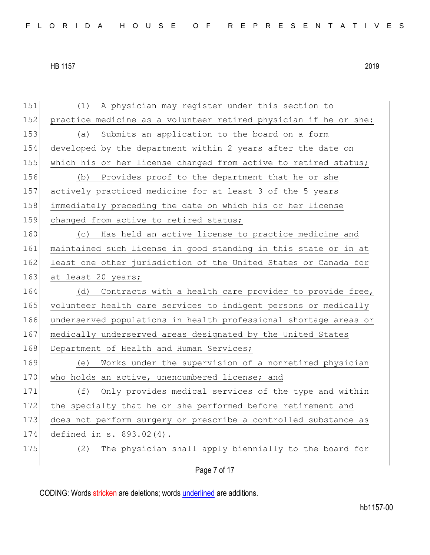| 151 | (1) A physician may register under this section to               |
|-----|------------------------------------------------------------------|
| 152 | practice medicine as a volunteer retired physician if he or she: |
| 153 | Submits an application to the board on a form<br>(a)             |
| 154 | developed by the department within 2 years after the date on     |
| 155 | which his or her license changed from active to retired status;  |
| 156 | (b) Provides proof to the department that he or she              |
| 157 | actively practiced medicine for at least 3 of the 5 years        |
| 158 | immediately preceding the date on which his or her license       |
| 159 | changed from active to retired status;                           |
| 160 | (c) Has held an active license to practice medicine and          |
| 161 | maintained such license in good standing in this state or in at  |
| 162 | least one other jurisdiction of the United States or Canada for  |
| 163 | at least 20 years;                                               |
| 164 | Contracts with a health care provider to provide free,<br>(d)    |
| 165 | volunteer health care services to indigent persons or medically  |
| 166 | underserved populations in health professional shortage areas or |
| 167 | medically underserved areas designated by the United States      |
| 168 | Department of Health and Human Services;                         |
| 169 | Works under the supervision of a nonretired physician<br>(e)     |
| 170 | who holds an active, unencumbered license; and                   |
| 171 | (f)<br>Only provides medical services of the type and within     |
| 172 | the specialty that he or she performed before retirement and     |
| 173 | does not perform surgery or prescribe a controlled substance as  |
| 174 | defined in s. 893.02(4).                                         |
|     |                                                                  |
| 175 | The physician shall apply biennially to the board for<br>(2)     |

Page 7 of 17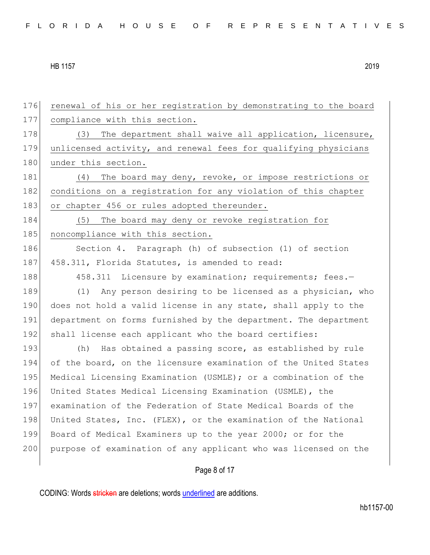176 renewal of his or her registration by demonstrating to the board 177 compliance with this section. 178 (3) The department shall waive all application, licensure, 179 unlicensed activity, and renewal fees for qualifying physicians 180 under this section. 181 (4) The board may deny, revoke, or impose restrictions or 182 conditions on a registration for any violation of this chapter 183 or chapter 456 or rules adopted thereunder. 184 (5) The board may deny or revoke registration for 185 noncompliance with this section. 186 Section 4. Paragraph (h) of subsection (1) of section 187 458.311, Florida Statutes, is amended to read: 188 458.311 Licensure by examination; requirements; fees.-189 (1) Any person desiring to be licensed as a physician, who 190 does not hold a valid license in any state, shall apply to the 191 department on forms furnished by the department. The department 192 shall license each applicant who the board certifies: 193 (h) Has obtained a passing score, as established by rule 194 of the board, on the licensure examination of the United States 195 Medical Licensing Examination (USMLE); or a combination of the 196 United States Medical Licensing Examination (USMLE), the 197 examination of the Federation of State Medical Boards of the 198 United States, Inc. (FLEX), or the examination of the National 199 Board of Medical Examiners up to the year 2000; or for the 200 purpose of examination of any applicant who was licensed on the

Page 8 of 17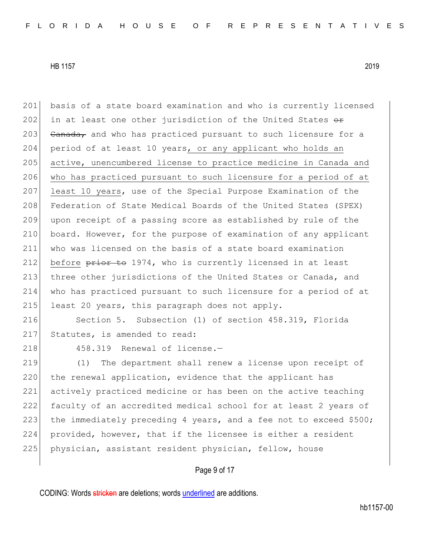201 basis of a state board examination and who is currently licensed 202 in at least one other jurisdiction of the United States  $\theta$ r 203 Canada, and who has practiced pursuant to such licensure for a 204 period of at least 10 years, or any applicant who holds an 205 active, unencumbered license to practice medicine in Canada and 206 who has practiced pursuant to such licensure for a period of at 207 least 10 years, use of the Special Purpose Examination of the 208 Federation of State Medical Boards of the United States (SPEX) 209 upon receipt of a passing score as established by rule of the 210 board. However, for the purpose of examination of any applicant 211 who was licensed on the basis of a state board examination 212 before  $\frac{p}{p}$  before  $\frac{p}{p}$  to 1974, who is currently licensed in at least 213 three other jurisdictions of the United States or Canada, and 214 who has practiced pursuant to such licensure for a period of at 215 least 20 years, this paragraph does not apply. 216 Section 5. Subsection (1) of section 458.319, Florida 217 Statutes, is amended to read: 218 458.319 Renewal of license. 219 (1) The department shall renew a license upon receipt of 220 the renewal application, evidence that the applicant has 221 actively practiced medicine or has been on the active teaching 222 faculty of an accredited medical school for at least 2 years of 223 the immediately preceding 4 years, and a fee not to exceed \$500; 224 provided, however, that if the licensee is either a resident

225 physician, assistant resident physician, fellow, house

## Page 9 of 17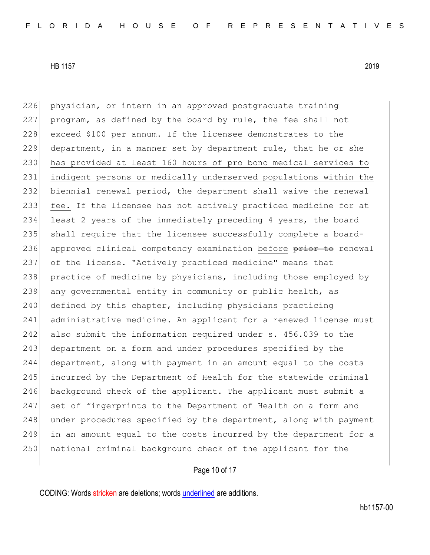226 physician, or intern in an approved postgraduate training 227 program, as defined by the board by rule, the fee shall not 228 exceed \$100 per annum. If the licensee demonstrates to the 229 department, in a manner set by department rule, that he or she 230 has provided at least 160 hours of pro bono medical services to 231 indigent persons or medically underserved populations within the 232 biennial renewal period, the department shall waive the renewal 233 fee. If the licensee has not actively practiced medicine for at 234 least 2 years of the immediately preceding 4 years, the board 235 shall require that the licensee successfully complete a board-236 approved clinical competency examination before prior to renewal 237 of the license. "Actively practiced medicine" means that 238 practice of medicine by physicians, including those employed by 239 any governmental entity in community or public health, as 240 defined by this chapter, including physicians practicing 241 administrative medicine. An applicant for a renewed license must 242 also submit the information required under s. 456.039 to the 243 department on a form and under procedures specified by the 244 department, along with payment in an amount equal to the costs 245 incurred by the Department of Health for the statewide criminal 246 background check of the applicant. The applicant must submit a 247 set of fingerprints to the Department of Health on a form and  $248$  under procedures specified by the department, along with payment 249 in an amount equal to the costs incurred by the department for a 250 | national criminal background check of the applicant for the

# Page 10 of 17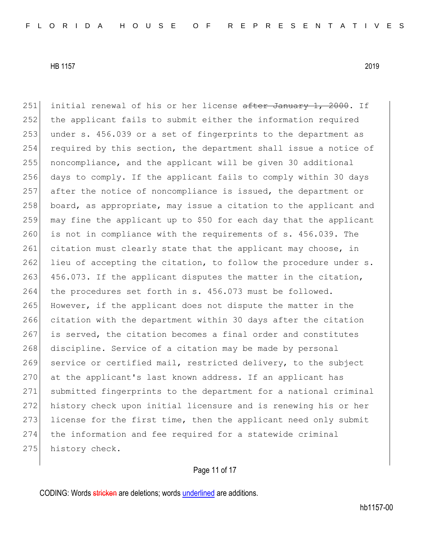251 initial renewal of his or her license after January 1, 2000. If 252 the applicant fails to submit either the information required 253 under s. 456.039 or a set of fingerprints to the department as 254 required by this section, the department shall issue a notice of 255 noncompliance, and the applicant will be given 30 additional 256 days to comply. If the applicant fails to comply within 30 days 257 after the notice of noncompliance is issued, the department or 258 board, as appropriate, may issue a citation to the applicant and 259 may fine the applicant up to \$50 for each day that the applicant 260 is not in compliance with the requirements of s. 456.039. The 261 citation must clearly state that the applicant may choose, in 262 lieu of accepting the citation, to follow the procedure under  $s$ . 263 456.073. If the applicant disputes the matter in the citation, 264 the procedures set forth in s. 456.073 must be followed. 265 However, if the applicant does not dispute the matter in the 266 citation with the department within 30 days after the citation 267 is served, the citation becomes a final order and constitutes 268 discipline. Service of a citation may be made by personal 269 service or certified mail, restricted delivery, to the subject 270 at the applicant's last known address. If an applicant has 271 submitted fingerprints to the department for a national criminal 272 history check upon initial licensure and is renewing his or her 273 license for the first time, then the applicant need only submit 274 the information and fee required for a statewide criminal 275 history check.

# Page 11 of 17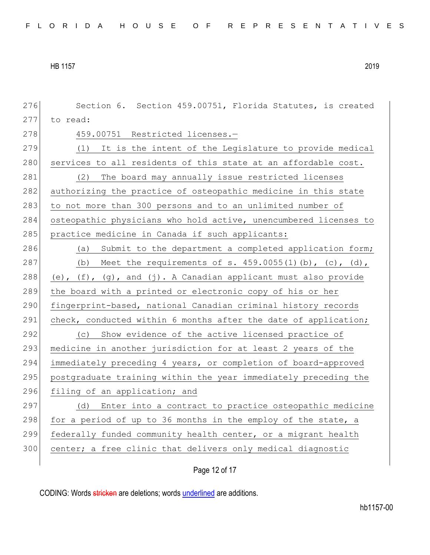276 Section 6. Section 459.00751, Florida Statutes, is created 277 to read: 278 459.00751 Restricted licenses.-279 (1) It is the intent of the Legislature to provide medical 280 services to all residents of this state at an affordable cost. 281 (2) The board may annually issue restricted licenses 282 authorizing the practice of osteopathic medicine in this state 283 to not more than 300 persons and to an unlimited number of 284 osteopathic physicians who hold active, unencumbered licenses to 285 practice medicine in Canada if such applicants: 286 (a) Submit to the department a completed application form; 287 (b) Meet the requirements of s. 459.0055(1)(b), (c), (d), 288 (e),  $(f)$ ,  $(g)$ , and  $(j)$ . A Canadian applicant must also provide 289 the board with a printed or electronic copy of his or her 290 fingerprint-based, national Canadian criminal history records 291 check, conducted within 6 months after the date of application; 292 (c) Show evidence of the active licensed practice of 293 medicine in another jurisdiction for at least 2 years of the 294 immediately preceding 4 years, or completion of board-approved 295 postgraduate training within the year immediately preceding the 296 filing of an application; and 297 (d) Enter into a contract to practice osteopathic medicine 298 for a period of up to 36 months in the employ of the state, a 299 federally funded community health center, or a migrant health 300 center; a free clinic that delivers only medical diagnostic

Page 12 of 17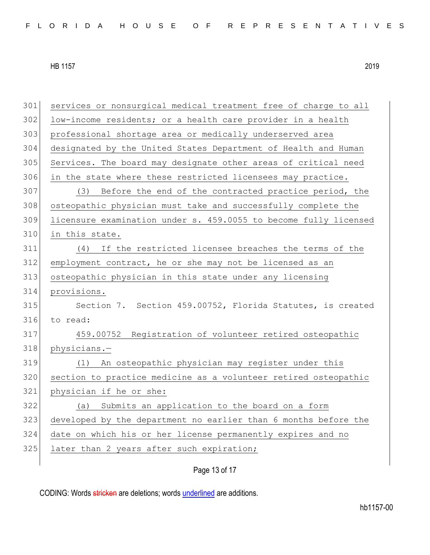services or nonsurgical medical treatment free of charge to all 302 low-income residents; or a health care provider in a health professional shortage area or medically underserved area designated by the United States Department of Health and Human Services. The board may designate other areas of critical need 306 in the state where these restricted licensees may practice. (3) Before the end of the contracted practice period, the osteopathic physician must take and successfully complete the licensure examination under s. 459.0055 to become fully licensed in this state. (4) If the restricted licensee breaches the terms of the employment contract, he or she may not be licensed as an osteopathic physician in this state under any licensing provisions. Section 7. Section 459.00752, Florida Statutes, is created to read: 459.00752 Registration of volunteer retired osteopathic 318 physicians.- (1) An osteopathic physician may register under this section to practice medicine as a volunteer retired osteopathic physician if he or she: (a) Submits an application to the board on a form developed by the department no earlier than 6 months before the date on which his or her license permanently expires and no 325 later than 2 years after such expiration;

Page 13 of 17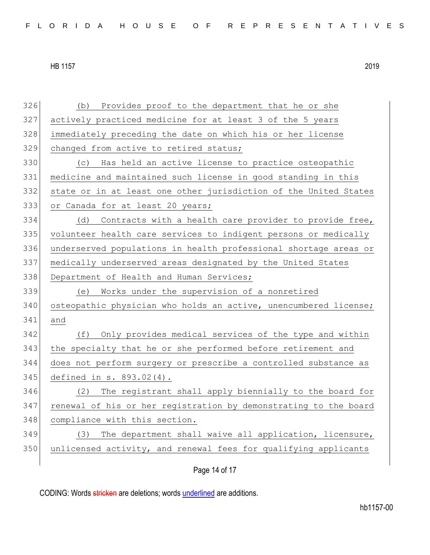| 326 | Provides proof to the department that he or she<br>(b)           |
|-----|------------------------------------------------------------------|
| 327 | actively practiced medicine for at least 3 of the 5 years        |
| 328 | immediately preceding the date on which his or her license       |
| 329 | changed from active to retired status;                           |
| 330 | (c) Has held an active license to practice osteopathic           |
| 331 | medicine and maintained such license in good standing in this    |
| 332 | state or in at least one other jurisdiction of the United States |
| 333 | or Canada for at least 20 years;                                 |
| 334 | Contracts with a health care provider to provide free,<br>(d)    |
| 335 | volunteer health care services to indigent persons or medically  |
| 336 | underserved populations in health professional shortage areas or |
| 337 | medically underserved areas designated by the United States      |
| 338 | Department of Health and Human Services;                         |
| 339 | Works under the supervision of a nonretired<br>(e)               |
| 340 | osteopathic physician who holds an active, unencumbered license; |
| 341 | and                                                              |
| 342 | Only provides medical services of the type and within<br>(f)     |
| 343 |                                                                  |
| 344 | the specialty that he or she performed before retirement and     |
|     | does not perform surgery or prescribe a controlled substance as  |
| 345 | defined in s. 893.02(4).                                         |
| 346 | The registrant shall apply biennially to the board for<br>(2)    |
| 347 | renewal of his or her registration by demonstrating to the board |
| 348 | compliance with this section.                                    |
| 349 | The department shall waive all application, licensure,<br>(3)    |
| 350 | unlicensed activity, and renewal fees for qualifying applicants  |

Page 14 of 17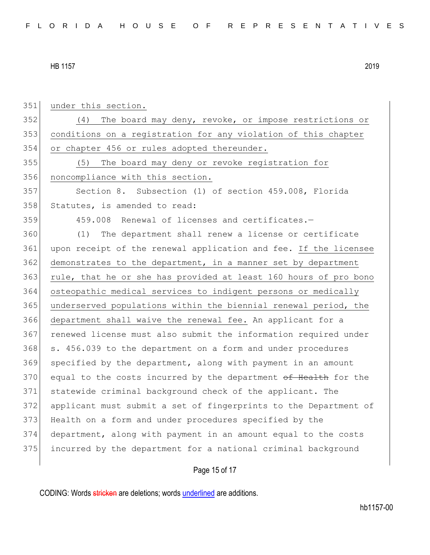| 351 | under this section.                                              |
|-----|------------------------------------------------------------------|
| 352 | (4)<br>The board may deny, revoke, or impose restrictions or     |
| 353 | conditions on a registration for any violation of this chapter   |
| 354 | or chapter 456 or rules adopted thereunder.                      |
| 355 | The board may deny or revoke registration for<br>(5)             |
| 356 | noncompliance with this section.                                 |
| 357 | Section 8. Subsection (1) of section 459.008, Florida            |
| 358 | Statutes, is amended to read:                                    |
| 359 | 459.008 Renewal of licenses and certificates.-                   |
| 360 | The department shall renew a license or certificate<br>(1)       |
| 361 | upon receipt of the renewal application and fee. If the licensee |
| 362 | demonstrates to the department, in a manner set by department    |
| 363 | rule, that he or she has provided at least 160 hours of pro bono |
| 364 | osteopathic medical services to indigent persons or medically    |
| 365 | underserved populations within the biennial renewal period, the  |
| 366 | department shall waive the renewal fee. An applicant for a       |
| 367 | renewed license must also submit the information required under  |
| 368 | s. 456.039 to the department on a form and under procedures      |
| 369 | specified by the department, along with payment in an amount     |
| 370 | equal to the costs incurred by the department of Health for the  |
| 371 | statewide criminal background check of the applicant. The        |
| 372 | applicant must submit a set of fingerprints to the Department of |
| 373 | Health on a form and under procedures specified by the           |
| 374 | department, along with payment in an amount equal to the costs   |
| 375 | incurred by the department for a national criminal background    |
|     |                                                                  |
|     | Page 15 of 17                                                    |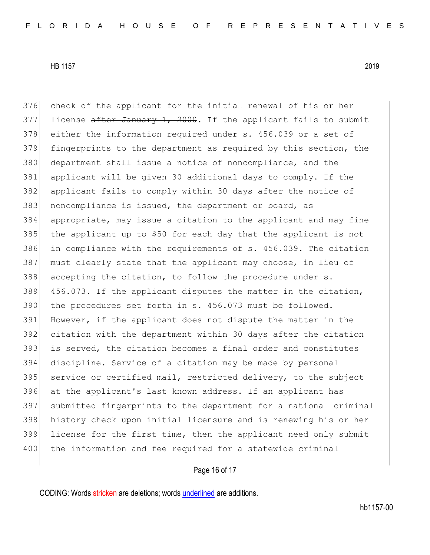376 check of the applicant for the initial renewal of his or her

377 license after January 1, 2000. If the applicant fails to submit

HB 1157 2019

378 either the information required under s. 456.039 or a set of fingerprints to the department as required by this section, the department shall issue a notice of noncompliance, and the applicant will be given 30 additional days to comply. If the applicant fails to comply within 30 days after the notice of noncompliance is issued, the department or board, as appropriate, may issue a citation to the applicant and may fine 385 the applicant up to \$50 for each day that the applicant is not 386 in compliance with the requirements of s. 456.039. The citation must clearly state that the applicant may choose, in lieu of accepting the citation, to follow the procedure under s. 456.073. If the applicant disputes the matter in the citation, 390 the procedures set forth in s. 456.073 must be followed. 391 However, if the applicant does not dispute the matter in the citation with the department within 30 days after the citation is served, the citation becomes a final order and constitutes discipline. Service of a citation may be made by personal 395 service or certified mail, restricted delivery, to the subject at the applicant's last known address. If an applicant has

 submitted fingerprints to the department for a national criminal history check upon initial licensure and is renewing his or her license for the first time, then the applicant need only submit 400 the information and fee required for a statewide criminal

### Page 16 of 17